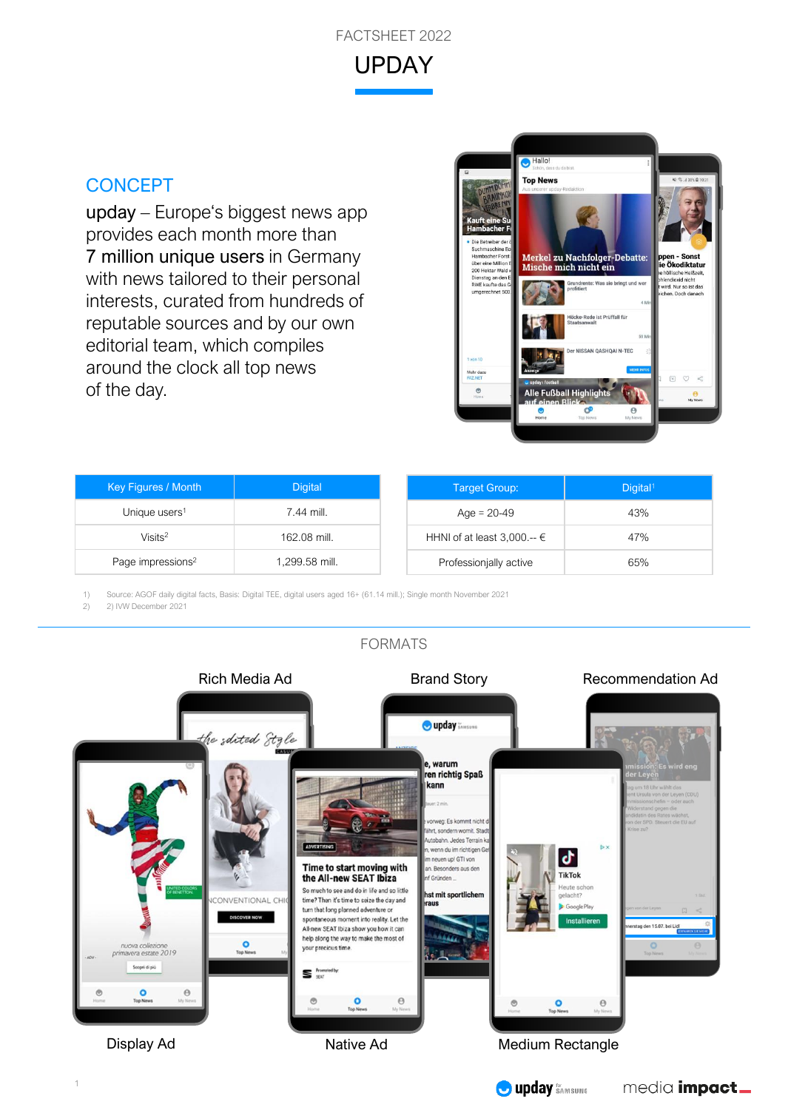

## **CONCEPT**

upday – Europe's biggest news app provides each month more than 7 million unique users in Germany with news tailored to their personal interests, curated from hundreds of reputable sources and by our own editorial team, which compiles around the clock all top news of the day.



| <b>Key Figures / Month</b>    | <b>Digital</b> | <b>Target Group:</b>            | Digital <sup>1</sup> |
|-------------------------------|----------------|---------------------------------|----------------------|
| Unique users <sup>1</sup>     | 7.44 mill.     | Age = $20-49$                   | 43%                  |
| Visits <sup>2</sup>           | 162.08 mill.   | HHNI of at least 3,000.-- $\in$ | 47%                  |
| Page impressions <sup>2</sup> | 1,299.58 mill. | Professionjally active          | 65%                  |

1) Source: AGOF daily digital facts, Basis: Digital TEE, digital users aged 16+ (61.14 mill.); Single month November 2021

2) 2) IVW December 2021



**O** upday SAMSUNG

media *impact\_* 

## FORMATS

1